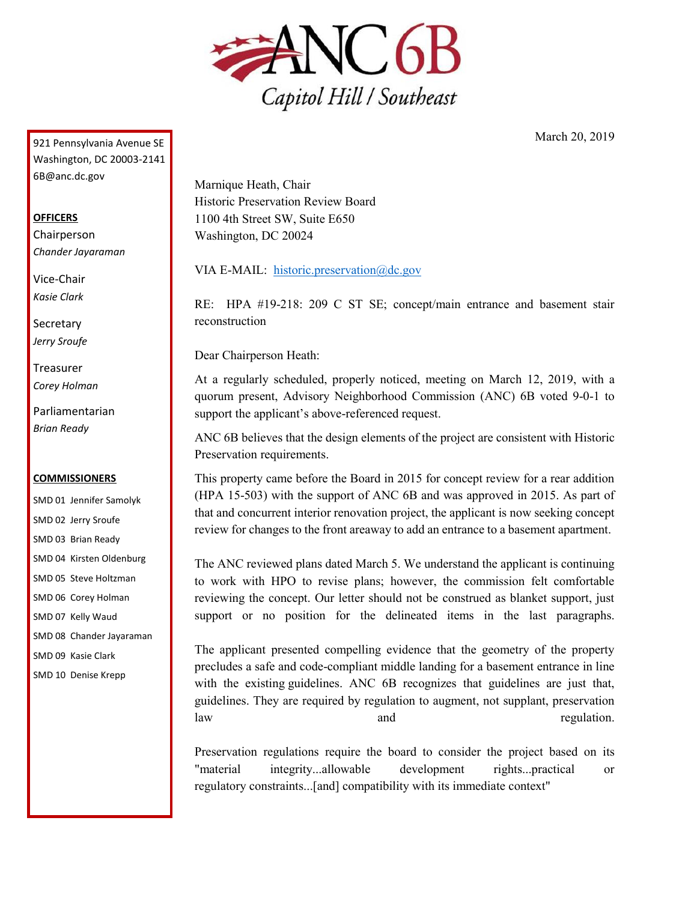

March 20, 2019

921 Pennsylvania Avenue SE Washington, DC 20003-2141 6B@anc.dc.gov

## **OFFICERS**

Chairperson *Chander Jayaraman*

Vice-Chair *Kasie Clark*

**Secretary** *Jerry Sroufe*

Treasurer *Corey Holman*

Parliamentarian *Brian Ready*

## **COMMISSIONERS**

SMD 01 Jennifer Samolyk SMD 02 Jerry Sroufe SMD 03 Brian Ready SMD 04 Kirsten Oldenburg SMD 05 Steve Holtzman SMD 06 Corey Holman SMD 07 Kelly Waud SMD 08 Chander Jayaraman SMD 09 Kasie Clark SMD 10 Denise Krepp

Marnique Heath, Chair Historic Preservation Review Board 1100 4th Street SW, Suite E650 Washington, DC 20024

VIA E-MAIL: [historic.preservation@dc.gov](mailto:historic.preservation@dc.gov)

RE: HPA #19-218: 209 C ST SE; concept/main entrance and basement stair reconstruction

Dear Chairperson Heath:

At a regularly scheduled, properly noticed, meeting on March 12, 2019, with a quorum present, Advisory Neighborhood Commission (ANC) 6B voted 9-0-1 to support the applicant's above-referenced request.

ANC 6B believes that the design elements of the project are consistent with Historic Preservation requirements.

This property came before the Board in 2015 for concept review for a rear addition (HPA 15-503) with the support of ANC 6B and was approved in 2015. As part of that and concurrent interior renovation project, the applicant is now seeking concept review for changes to the front areaway to add an entrance to a basement apartment.

The ANC reviewed plans dated March 5. We understand the applicant is continuing to work with HPO to revise plans; however, the commission felt comfortable reviewing the concept. Our letter should not be construed as blanket support, just support or no position for the delineated items in the last paragraphs.

The applicant presented compelling evidence that the geometry of the property precludes a safe and code-compliant middle landing for a basement entrance in line with the existing guidelines. ANC 6B recognizes that guidelines are just that, guidelines. They are required by regulation to augment, not supplant, preservation law and regulation.

Preservation regulations require the board to consider the project based on its "material integrity...allowable development rights...practical or regulatory constraints...[and] compatibility with its immediate context"